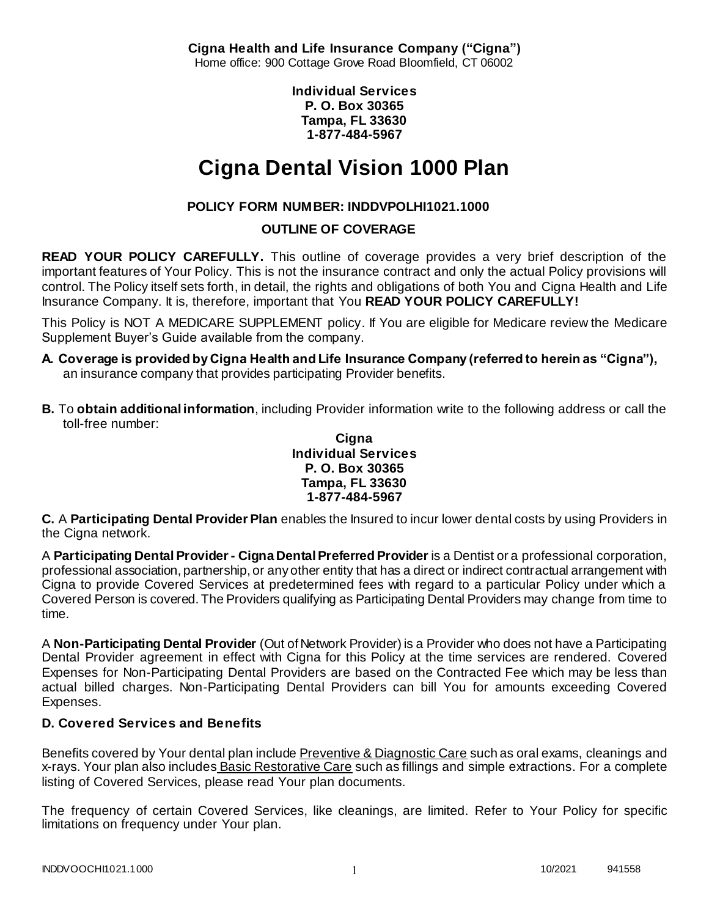**Cigna Health and Life Insurance Company ("Cigna")** Home office: 900 Cottage Grove Road Bloomfield, CT 06002

> **Individual Services P. O. Box 30365 Tampa, FL 33630 1-877-484-5967**

# **Cigna Dental Vision 1000 Plan**

# **POLICY FORM NUMBER: INDDVPOLHI1021.1000**

# **OUTLINE OF COVERAGE**

**READ YOUR POLICY CAREFULLY.** This outline of coverage provides a very brief description of the important features of Your Policy. This is not the insurance contract and only the actual Policy provisions will control. The Policy itself sets forth, in detail, the rights and obligations of both You and Cigna Health and Life Insurance Company. It is, therefore, important that You **READ YOUR POLICY CAREFULLY!** 

This Policy is NOT A MEDICARE SUPPLEMENT policy. If You are eligible for Medicare review the Medicare Supplement Buyer's Guide available from the company.

- **A. Coverage is provided by Cigna Health and Life Insurance Company (referred to herein as "Cigna"),**  an insurance company that provides participating Provider benefits.
- **B.** To **obtain additional information**, including Provider information write to the following address or call the toll-free number:

### **Cigna Individual Services P. O. Box 30365 Tampa, FL 33630 1-877-484-5967**

**C.** A **Participating Dental Provider Plan** enables the Insured to incur lower dental costs by using Providers in the Cigna network.

A **Participating Dental Provider - Cigna Dental Preferred Provider** is a Dentist or a professional corporation, professional association, partnership, or any other entity that has a direct or indirect contractual arrangement with Cigna to provide Covered Services at predetermined fees with regard to a particular Policy under which a Covered Person is covered. The Providers qualifying as Participating Dental Providers may change from time to time.

A **Non-Participating Dental Provider** (Out of Network Provider) is a Provider who does not have a Participating Dental Provider agreement in effect with Cigna for this Policy at the time services are rendered. Covered Expenses for Non-Participating Dental Providers are based on the Contracted Fee which may be less than actual billed charges. Non-Participating Dental Providers can bill You for amounts exceeding Covered Expenses.

# **D. Covered Services and Benefits**

Benefits covered by Your dental plan include Preventive & Diagnostic Care such as oral exams, cleanings and x-rays. Your plan also includes Basic Restorative Care such as fillings and simple extractions. For a complete listing of Covered Services, please read Your plan documents.

The frequency of certain Covered Services, like cleanings, are limited. Refer to Your Policy for specific limitations on frequency under Your plan.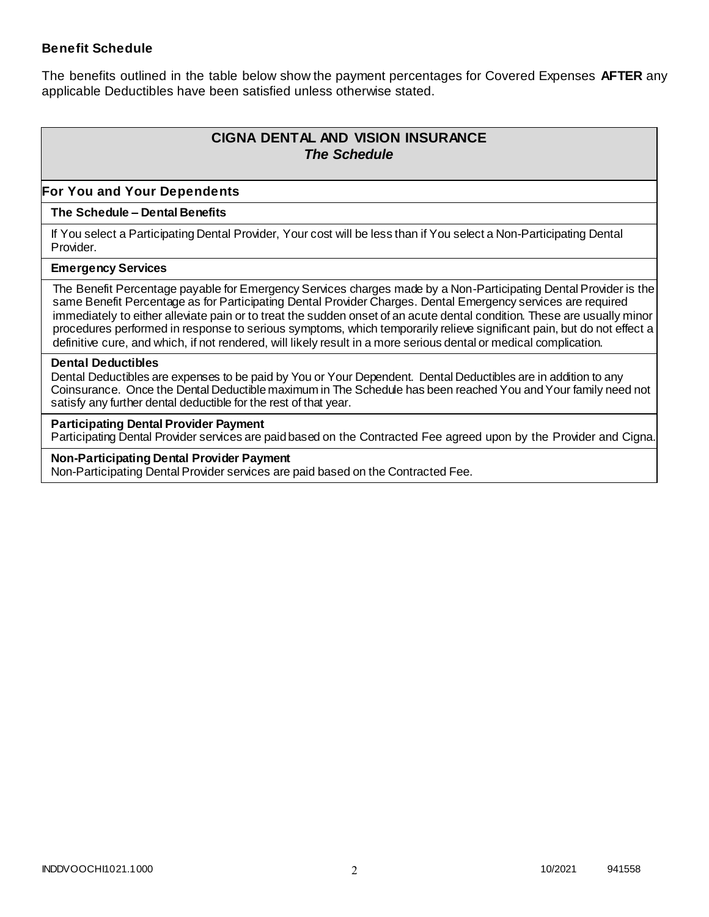### **Benefit Schedule**

The benefits outlined in the table below show the payment percentages for Covered Expenses **AFTER** any applicable Deductibles have been satisfied unless otherwise stated.

# **CIGNA DENTAL AND VISION INSURANCE** *The Schedule*

### **For You and Your Dependents**

#### **The Schedule – Dental Benefits**

If You select a Participating Dental Provider, Your cost will be less than if You select a Non-Participating Dental Provider.

#### **Emergency Services**

The Benefit Percentage payable for Emergency Services charges made by a Non-Participating Dental Provider is the same Benefit Percentage as for Participating Dental Provider Charges. Dental Emergency services are required immediately to either alleviate pain or to treat the sudden onset of an acute dental condition. These are usually minor procedures performed in response to serious symptoms, which temporarily relieve significant pain, but do not effect a definitive cure, and which, if not rendered, will likely result in a more serious dental or medical complication.

#### **Dental Deductibles**

Dental Deductibles are expenses to be paid by You or Your Dependent. Dental Deductibles are in addition to any Coinsurance. Once the Dental Deductible maximum in The Schedule has been reached You and Your family need not satisfy any further dental deductible for the rest of that year.

#### **Participating Dental Provider Payment**

Participating Dental Provider services are paid based on the Contracted Fee agreed upon by the Provider and Cigna.

**Non-Participating Dental Provider Payment** Non-Participating Dental Provider services are paid based on the Contracted Fee.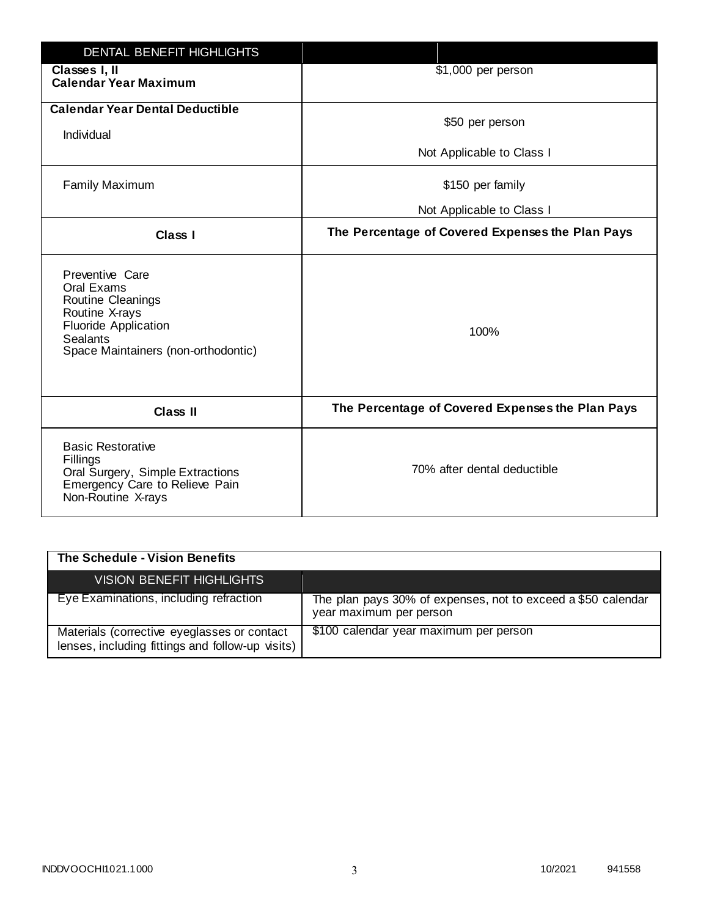| <b>DENTAL BENEFIT HIGHLIGHTS</b>                                                                                                                              |                                                  |
|---------------------------------------------------------------------------------------------------------------------------------------------------------------|--------------------------------------------------|
| Classes I, II<br><b>Calendar Year Maximum</b>                                                                                                                 | \$1,000 per person                               |
| <b>Calendar Year Dental Deductible</b><br>Individual                                                                                                          | \$50 per person                                  |
|                                                                                                                                                               | Not Applicable to Class I                        |
| <b>Family Maximum</b>                                                                                                                                         | \$150 per family                                 |
|                                                                                                                                                               | Not Applicable to Class I                        |
| <b>Class I</b>                                                                                                                                                | The Percentage of Covered Expenses the Plan Pays |
| Preventive Care<br>Oral Exams<br>Routine Cleanings<br>Routine X-rays<br><b>Fluoride Application</b><br><b>Sealants</b><br>Space Maintainers (non-orthodontic) | 100%                                             |
| <b>Class II</b>                                                                                                                                               | The Percentage of Covered Expenses the Plan Pays |
| <b>Basic Restorative</b><br>Fillings<br>Oral Surgery, Simple Extractions<br>Emergency Care to Relieve Pain<br>Non-Routine X-rays                              | 70% after dental deductible                      |

| The Schedule - Vision Benefits                                                                  |                                                                                         |
|-------------------------------------------------------------------------------------------------|-----------------------------------------------------------------------------------------|
| <b>VISION BENEFIT HIGHLIGHTS,</b>                                                               |                                                                                         |
| Eye Examinations, including refraction                                                          | The plan pays 30% of expenses, not to exceed a \$50 calendar<br>year maximum per person |
| Materials (corrective eyeglasses or contact<br>lenses, including fittings and follow-up visits) | \$100 calendar year maximum per person                                                  |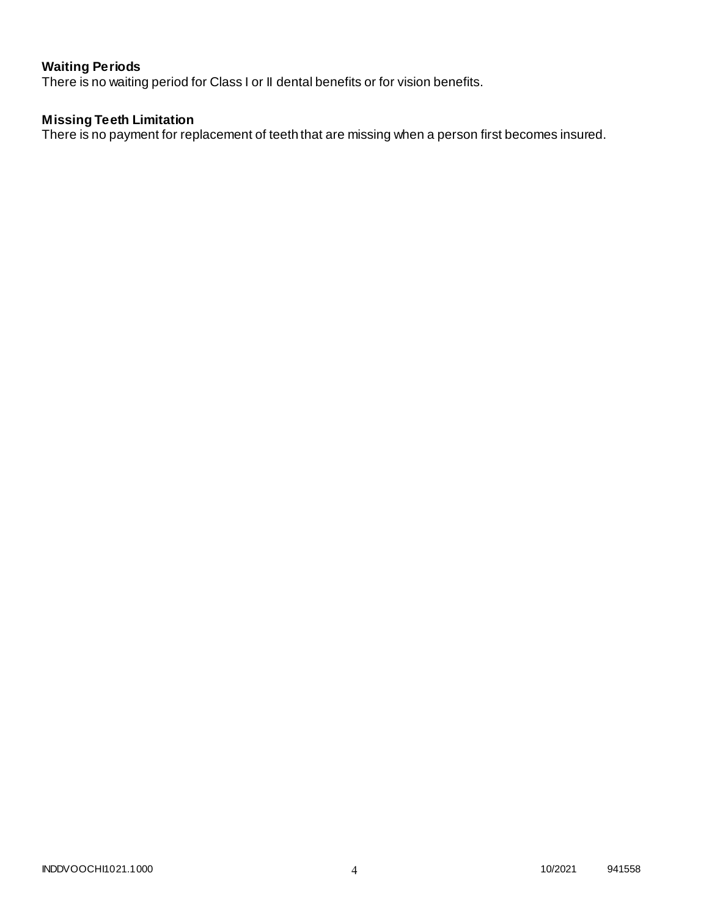# **Waiting Periods**

There is no waiting period for Class I or II dental benefits or for vision benefits.

### **Missing Teeth Limitation**

There is no payment for replacement of teeth that are missing when a person first becomes insured.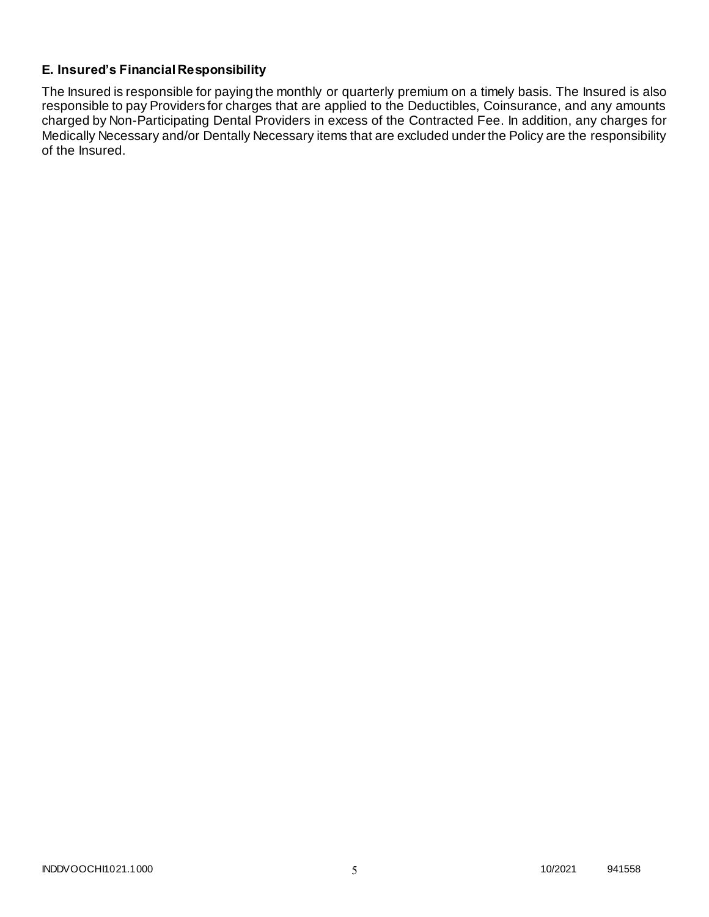## **E. Insured's Financial Responsibility**

The Insured is responsible for paying the monthly or quarterly premium on a timely basis. The Insured is also responsible to pay Providers for charges that are applied to the Deductibles, Coinsurance, and any amounts charged by Non-Participating Dental Providers in excess of the Contracted Fee. In addition, any charges for Medically Necessary and/or Dentally Necessary items that are excluded under the Policy are the responsibility of the Insured.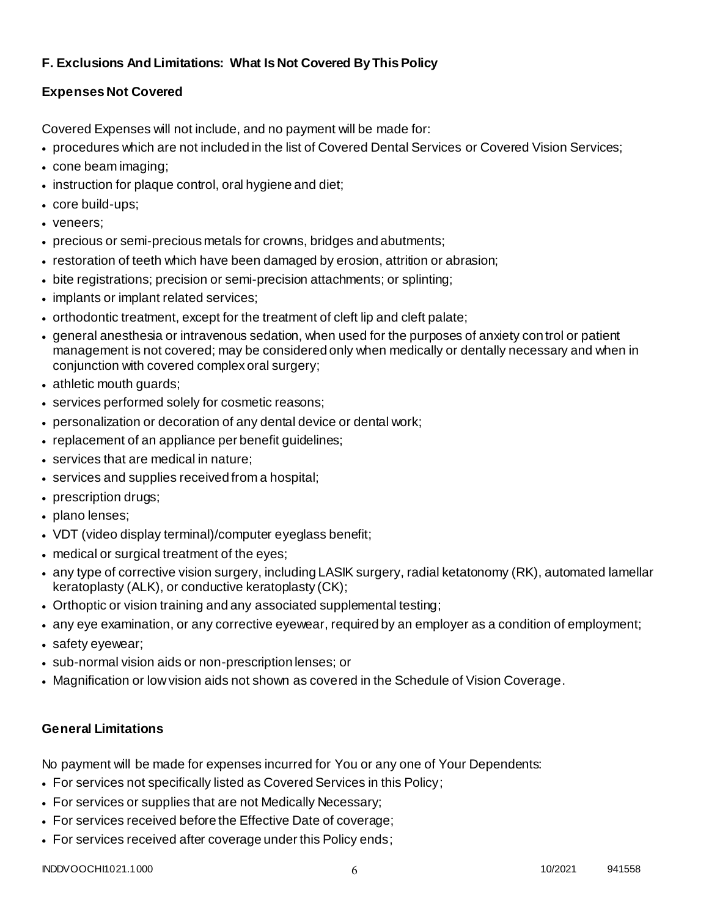# **F. Exclusions And Limitations: What Is Not Covered By This Policy**

# **Expenses Not Covered**

Covered Expenses will not include, and no payment will be made for:

- procedures which are not included in the list of Covered Dental Services or Covered Vision Services;
- cone beam imaging;
- instruction for plaque control, oral hygiene and diet;
- core build-ups;
- veneers;
- precious or semi-precious metals for crowns, bridges and abutments;
- restoration of teeth which have been damaged by erosion, attrition or abrasion;
- bite registrations; precision or semi-precision attachments; or splinting;
- implants or implant related services;
- orthodontic treatment, except for the treatment of cleft lip and cleft palate;
- general anesthesia or intravenous sedation, when used for the purposes of anxiety control or patient management is not covered; may be considered only when medically or dentally necessary and when in conjunction with covered complex oral surgery;
- athletic mouth guards;
- services performed solely for cosmetic reasons;
- personalization or decoration of any dental device or dental work;
- replacement of an appliance per benefit quidelines;
- services that are medical in nature;
- services and supplies received from a hospital;
- prescription drugs;
- plano lenses;
- VDT (video display terminal)/computer eyeglass benefit;
- medical or surgical treatment of the eyes;
- any type of corrective vision surgery, including LASIK surgery, radial ketatonomy (RK), automated lamellar keratoplasty (ALK), or conductive keratoplasty (CK);
- Orthoptic or vision training and any associated supplemental testing;
- any eye examination, or any corrective eyewear, required by an employer as a condition of employment;
- safety eyewear;
- sub-normal vision aids or non-prescription lenses; or
- Magnification or low vision aids not shown as covered in the Schedule of Vision Coverage.

# **General Limitations**

No payment will be made for expenses incurred for You or any one of Your Dependents:

- For services not specifically listed as Covered Services in this Policy;
- For services or supplies that are not Medically Necessary;
- For services received before the Effective Date of coverage;
- For services received after coverage under this Policy ends;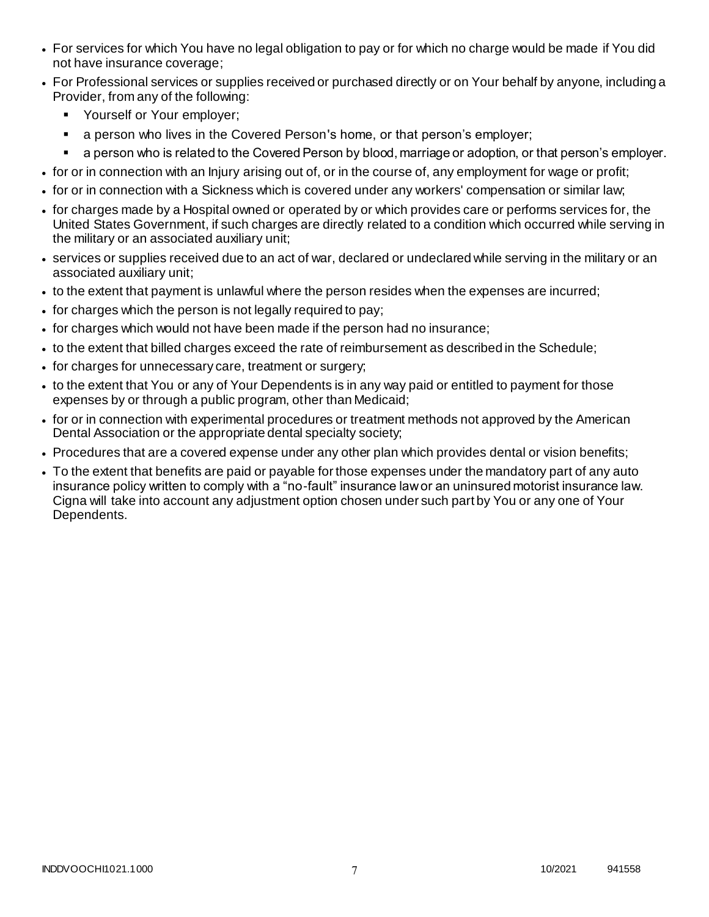- For services for which You have no legal obligation to pay or for which no charge would be made if You did not have insurance coverage;
- For Professional services or supplies received or purchased directly or on Your behalf by anyone, including a Provider, from any of the following:
	- **Yourself or Your employer;**
	- a person who lives in the Covered Person's home, or that person's employer;
	- a person who is related to the Covered Person by blood, marriage or adoption, or that person's employer.
- for or in connection with an Injury arising out of, or in the course of, any employment for wage or profit;
- for or in connection with a Sickness which is covered under any workers' compensation or similar law;
- for charges made by a Hospital owned or operated by or which provides care or performs services for, the United States Government, if such charges are directly related to a condition which occurred while serving in the military or an associated auxiliary unit;
- services or supplies received due to an act of war, declared or undeclared while serving in the military or an associated auxiliary unit;
- to the extent that payment is unlawful where the person resides when the expenses are incurred;
- for charges which the person is not legally required to pay;
- for charges which would not have been made if the person had no insurance;
- to the extent that billed charges exceed the rate of reimbursement as described in the Schedule;
- for charges for unnecessary care, treatment or surgery;
- to the extent that You or any of Your Dependents is in any way paid or entitled to payment for those expenses by or through a public program, other than Medicaid;
- for or in connection with experimental procedures or treatment methods not approved by the American Dental Association or the appropriate dental specialty society;
- Procedures that are a covered expense under any other plan which provides dental or vision benefits;
- To the extent that benefits are paid or payable for those expenses under the mandatory part of any auto insurance policy written to comply with a "no-fault" insurance law or an uninsured motorist insurance law. Cigna will take into account any adjustment option chosen under such part by You or any one of Your Dependents.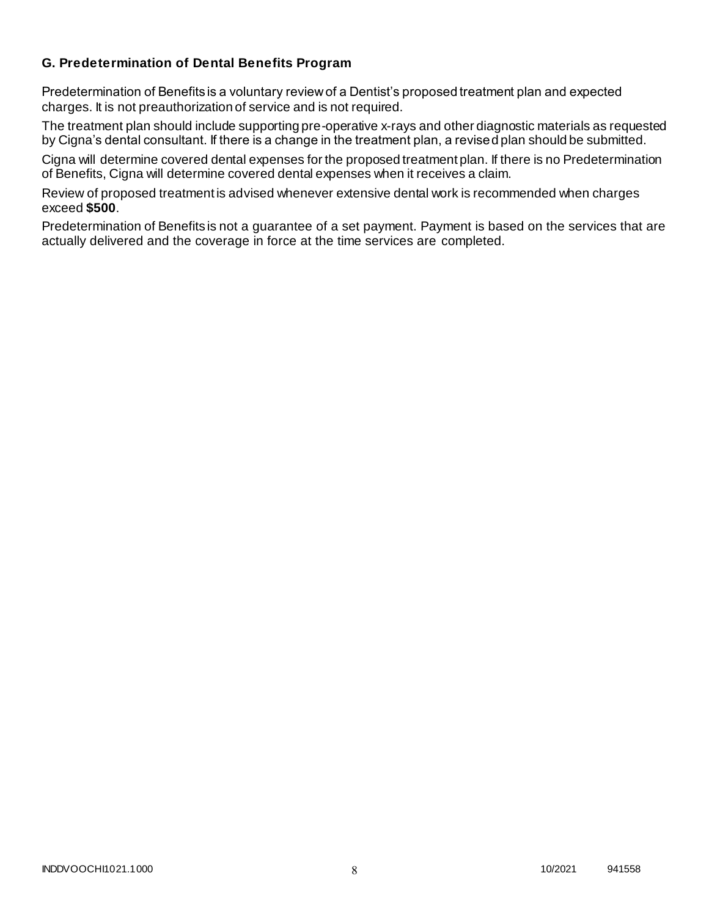### **G. Predetermination of Dental Benefits Program**

Predetermination of Benefits is a voluntary review of a Dentist's proposed treatment plan and expected charges. It is not preauthorization of service and is not required.

The treatment plan should include supporting pre-operative x-rays and other diagnostic materials as requested by Cigna's dental consultant. If there is a change in the treatment plan, a revised plan should be submitted.

Cigna will determine covered dental expenses for the proposed treatment plan. If there is no Predetermination of Benefits, Cigna will determine covered dental expenses when it receives a claim.

Review of proposed treatment is advised whenever extensive dental work is recommended when charges exceed **\$500**.

Predetermination of Benefits is not a guarantee of a set payment. Payment is based on the services that are actually delivered and the coverage in force at the time services are completed.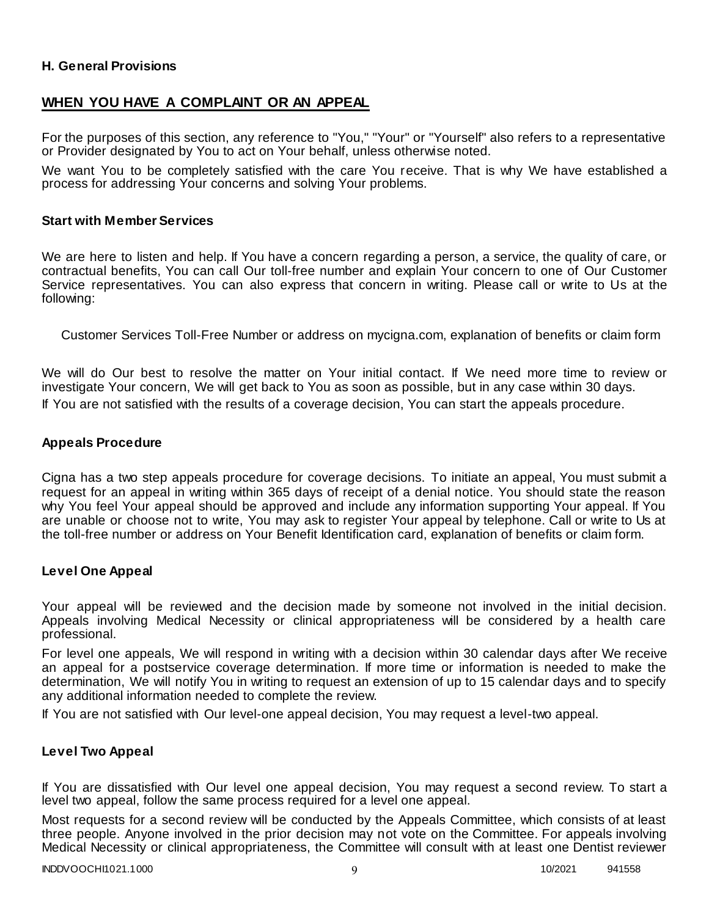### **H. General Provisions**

### **WHEN YOU HAVE A COMPLAINT OR AN APPEAL**

For the purposes of this section, any reference to "You," "Your" or "Yourself" also refers to a representative or Provider designated by You to act on Your behalf, unless otherwise noted.

We want You to be completely satisfied with the care You receive. That is why We have established a process for addressing Your concerns and solving Your problems.

#### **Start with Member Services**

We are here to listen and help. If You have a concern regarding a person, a service, the quality of care, or contractual benefits, You can call Our toll-free number and explain Your concern to one of Our Customer Service representatives. You can also express that concern in writing. Please call or write to Us at the following:

Customer Services Toll-Free Number or address on mycigna.com, explanation of benefits or claim form

We will do Our best to resolve the matter on Your initial contact. If We need more time to review or investigate Your concern, We will get back to You as soon as possible, but in any case within 30 days. If You are not satisfied with the results of a coverage decision, You can start the appeals procedure.

#### **Appeals Procedure**

Cigna has a two step appeals procedure for coverage decisions. To initiate an appeal, You must submit a request for an appeal in writing within 365 days of receipt of a denial notice. You should state the reason why You feel Your appeal should be approved and include any information supporting Your appeal. If You are unable or choose not to write, You may ask to register Your appeal by telephone. Call or write to Us at the toll-free number or address on Your Benefit Identification card, explanation of benefits or claim form.

#### **Level One Appeal**

Your appeal will be reviewed and the decision made by someone not involved in the initial decision. Appeals involving Medical Necessity or clinical appropriateness will be considered by a health care professional.

For level one appeals, We will respond in writing with a decision within 30 calendar days after We receive an appeal for a postservice coverage determination. If more time or information is needed to make the determination, We will notify You in writing to request an extension of up to 15 calendar days and to specify any additional information needed to complete the review.

If You are not satisfied with Our level-one appeal decision, You may request a level-two appeal.

### **Level Two Appeal**

If You are dissatisfied with Our level one appeal decision, You may request a second review. To start a level two appeal, follow the same process required for a level one appeal.

Most requests for a second review will be conducted by the Appeals Committee, which consists of at least three people. Anyone involved in the prior decision may not vote on the Committee. For appeals involving Medical Necessity or clinical appropriateness, the Committee will consult with at least one Dentist reviewer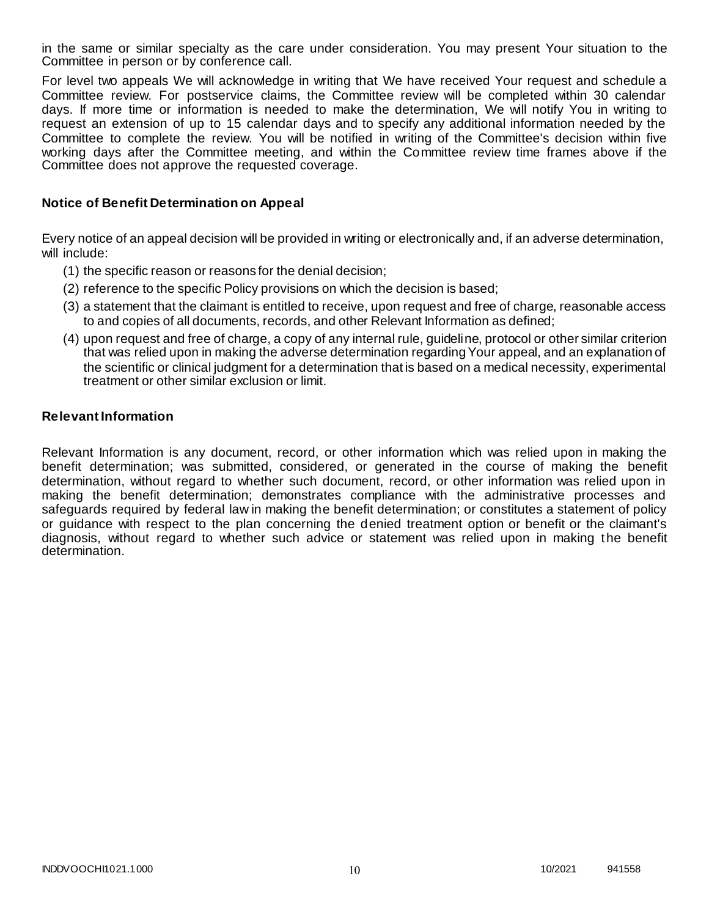in the same or similar specialty as the care under consideration. You may present Your situation to the Committee in person or by conference call.

For level two appeals We will acknowledge in writing that We have received Your request and schedule a Committee review. For postservice claims, the Committee review will be completed within 30 calendar days. If more time or information is needed to make the determination, We will notify You in writing to request an extension of up to 15 calendar days and to specify any additional information needed by the Committee to complete the review. You will be notified in writing of the Committee's decision within five working days after the Committee meeting, and within the Committee review time frames above if the Committee does not approve the requested coverage.

### **Notice of Benefit Determination on Appeal**

Every notice of an appeal decision will be provided in writing or electronically and, if an adverse determination, will include:

- (1) the specific reason or reasons for the denial decision;
- (2) reference to the specific Policy provisions on which the decision is based;
- (3) a statement that the claimant is entitled to receive, upon request and free of charge, reasonable access to and copies of all documents, records, and other Relevant Information as defined;
- (4) upon request and free of charge, a copy of any internal rule, guideline, protocol or other similar criterion that was relied upon in making the adverse determination regarding Your appeal, and an explanation of the scientific or clinical judgment for a determination that is based on a medical necessity, experimental treatment or other similar exclusion or limit.

#### **Relevant Information**

Relevant Information is any document, record, or other information which was relied upon in making the benefit determination; was submitted, considered, or generated in the course of making the benefit determination, without regard to whether such document, record, or other information was relied upon in making the benefit determination; demonstrates compliance with the administrative processes and safeguards required by federal law in making the benefit determination; or constitutes a statement of policy or guidance with respect to the plan concerning the denied treatment option or benefit or the claimant's diagnosis, without regard to whether such advice or statement was relied upon in making the benefit determination.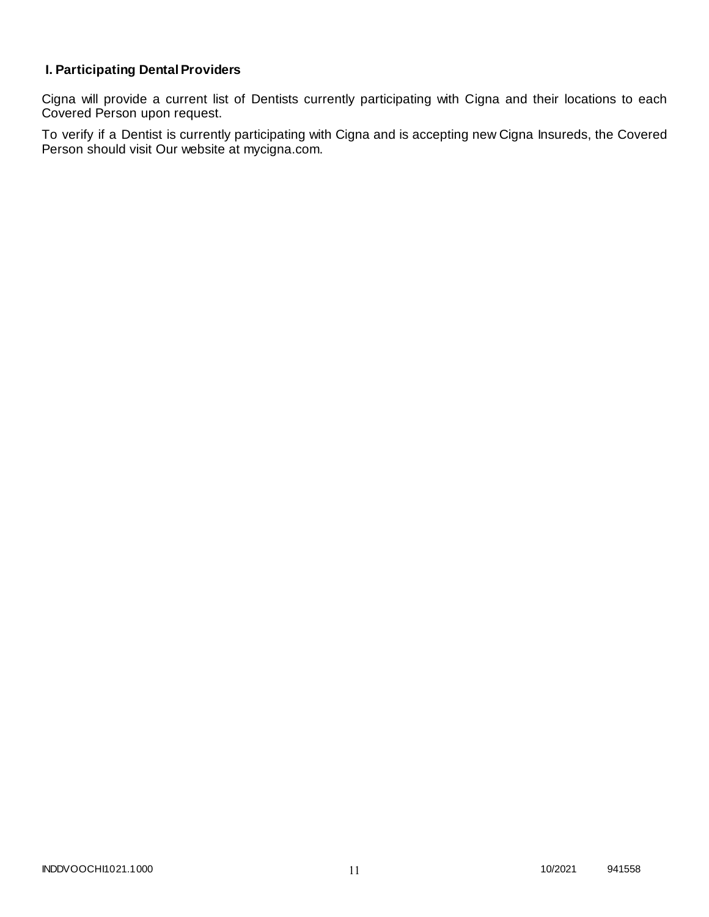# **I. Participating Dental Providers**

Cigna will provide a current list of Dentists currently participating with Cigna and their locations to each Covered Person upon request.

To verify if a Dentist is currently participating with Cigna and is accepting new Cigna Insureds, the Covered Person should visit Our website at mycigna.com.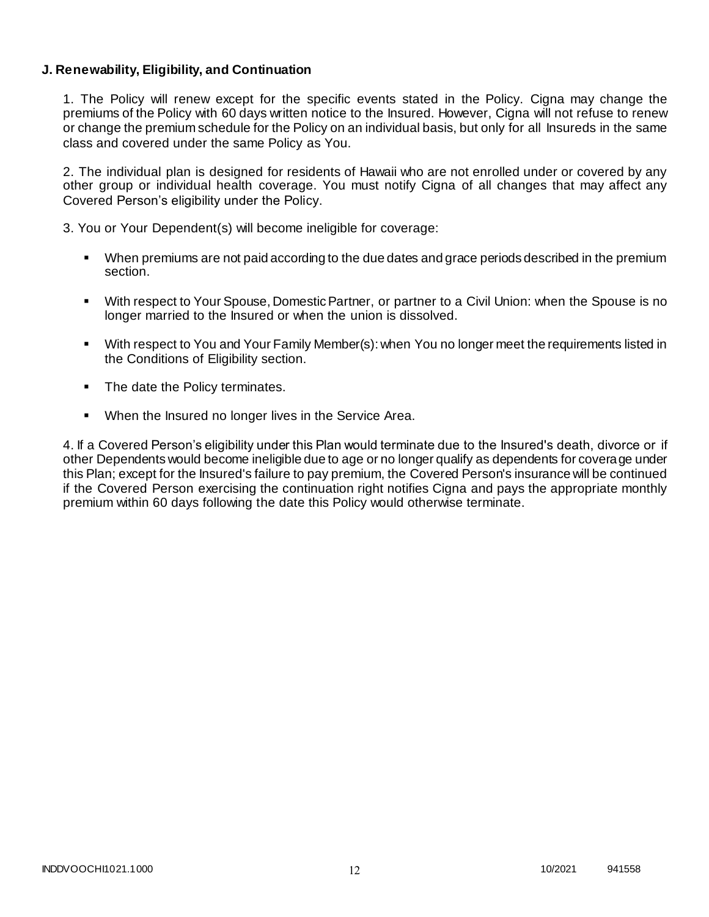### **J. Renewability, Eligibility, and Continuation**

1. The Policy will renew except for the specific events stated in the Policy. Cigna may change the premiums of the Policy with 60 days written notice to the Insured. However, Cigna will not refuse to renew or change the premium schedule for the Policy on an individual basis, but only for all Insureds in the same class and covered under the same Policy as You.

2. The individual plan is designed for residents of Hawaii who are not enrolled under or covered by any other group or individual health coverage. You must notify Cigna of all changes that may affect any Covered Person's eligibility under the Policy.

3. You or Your Dependent(s) will become ineligible for coverage:

- When premiums are not paid according to the due dates and grace periods described in the premium section.
- With respect to Your Spouse, Domestic Partner, or partner to a Civil Union: when the Spouse is no longer married to the Insured or when the union is dissolved.
- With respect to You and Your Family Member(s): when You no longer meet the requirements listed in the Conditions of Eligibility section.
- The date the Policy terminates.
- When the Insured no longer lives in the Service Area.

4. If a Covered Person's eligibility under this Plan would terminate due to the Insured's death, divorce or if other Dependents would become ineligible due to age or no longer qualify as dependents for coverage under this Plan; except for the Insured's failure to pay premium, the Covered Person's insurance will be continued if the Covered Person exercising the continuation right notifies Cigna and pays the appropriate monthly premium within 60 days following the date this Policy would otherwise terminate.